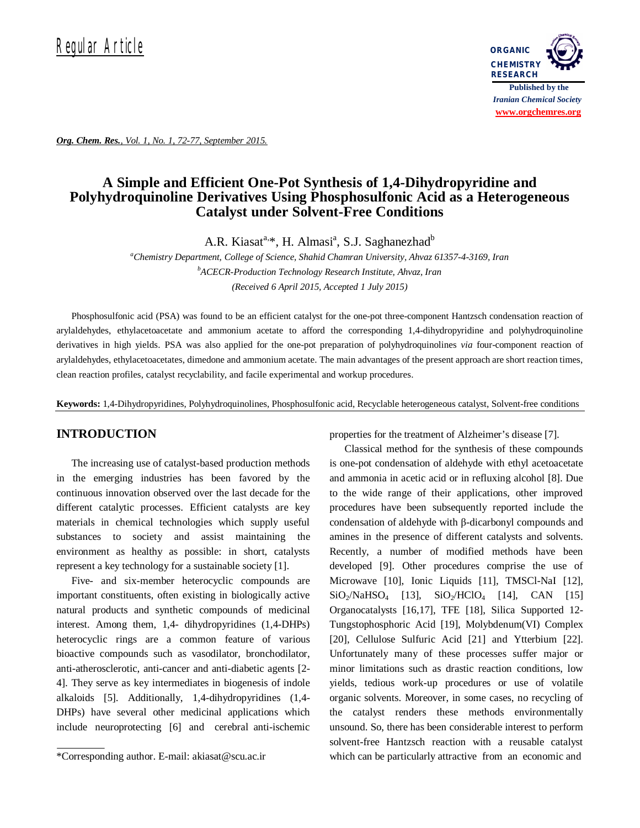

*Org. Chem. Res., Vol. 1, No. 1, 72-77, September 2015.*

# **A Simple and Efficient One-Pot Synthesis of 1,4-Dihydropyridine and Polyhydroquinoline Derivatives Using Phosphosulfonic Acid as a Heterogeneous Catalyst under Solvent-Free Conditions**

A.R. Kiasat<sup>a, \*</sup>, H. Almasi<sup>a</sup>, S.J. Saghanezhad<sup>b</sup>

*<sup>a</sup>Chemistry Department, College of Science, Shahid Chamran University, Ahvaz 61357-4-3169, Iran <sup>b</sup>ACECR-Production Technology Research Institute, Ahvaz, Iran (Received 6 April 2015, Accepted 1 July 2015)*

Phosphosulfonic acid (PSA) was found to be an efficient catalyst for the one-pot three-component Hantzsch condensation reaction of arylaldehydes, ethylacetoacetate and ammonium acetate to afford the corresponding 1,4-dihydropyridine and polyhydroquinoline derivatives in high yields. PSA was also applied for the one-pot preparation of polyhydroquinolines *via* four-component reaction of arylaldehydes, ethylacetoacetates, dimedone and ammonium acetate. The main advantages of the present approach are short reaction times, clean reaction profiles, catalyst recyclability, and facile experimental and workup procedures.

**Keywords:** 1,4-Dihydropyridines, Polyhydroquinolines, Phosphosulfonic acid, Recyclable heterogeneous catalyst, Solvent-free conditions

# **INTRODUCTION**

The increasing use of catalyst-based production methods in the emerging industries has been favored by the continuous innovation observed over the last decade for the different catalytic processes. Efficient catalysts are key materials in chemical technologies which supply useful substances to society and assist maintaining the environment as healthy as possible: in short, catalysts represent a key technology for a sustainable society [1].

Five- and six-member heterocyclic compounds are important constituents, often existing in biologically active natural products and synthetic compounds of medicinal interest. Among them, 1,4- dihydropyridines (1,4-DHPs) heterocyclic rings are a common feature of various bioactive compounds such as vasodilator, bronchodilator, anti-atherosclerotic, anti-cancer and anti-diabetic agents [2- 4]. They serve as key intermediates in biogenesis of indole alkaloids [5]. Additionally, 1,4-dihydropyridines (1,4- DHPs) have several other medicinal applications which include neuroprotecting [6] and cerebral anti-ischemic properties for the treatment of Alzheimer's disease [7].

Classical method for the synthesis of these compounds is one-pot condensation of aldehyde with ethyl acetoacetate and ammonia in acetic acid or in refluxing alcohol [8]. Due to the wide range of their applications, other improved procedures have been subsequently reported include the condensation of aldehyde with β-dicarbonyl compounds and amines in the presence of different catalysts and solvents. Recently, a number of modified methods have been developed [9]. Other procedures comprise the use of Microwave [10], Ionic Liquids [11], TMSCl-NaI [12],  $SiO<sub>2</sub>/NaHSO<sub>4</sub>$  [13],  $SiO<sub>2</sub>/HClO<sub>4</sub>$  [14], CAN [15] Organocatalysts [16,17], TFE [18], Silica Supported 12- Tungstophosphoric Acid [19], Molybdenum(VI) Complex [20], Cellulose Sulfuric Acid [21] and Ytterbium [22]. Unfortunately many of these processes suffer major or minor limitations such as drastic reaction conditions, low yields, tedious work-up procedures or use of volatile organic solvents. Moreover, in some cases, no recycling of the catalyst renders these methods environmentally unsound. So, there has been considerable interest to perform solvent-free Hantzsch reaction with a reusable catalyst which can be particularly attractive from an economic and

<sup>\*</sup>Corresponding author. E-mail: akiasat@scu.ac.ir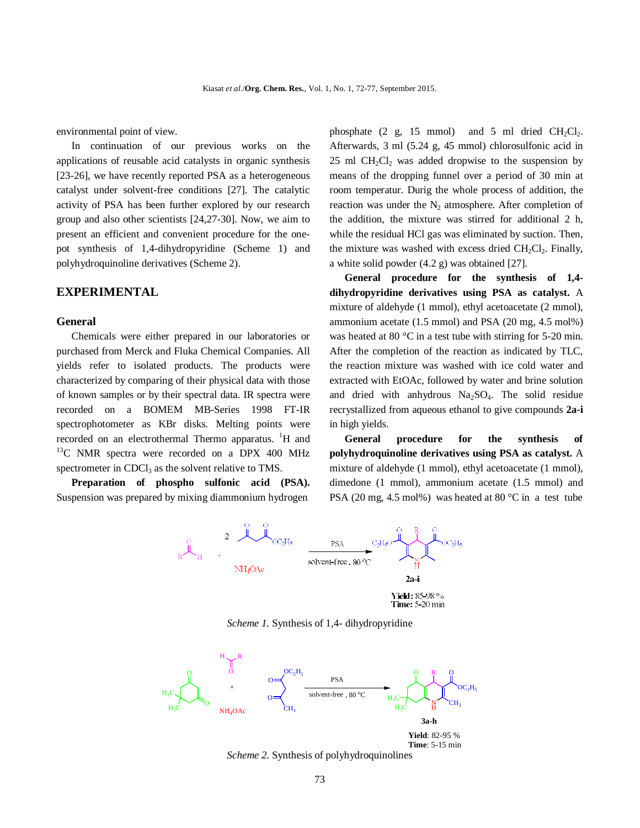environmental point of view.

In continuation of our previous works on the applications of reusable acid catalysts in organic synthesis [23-26], we have recently reported PSA as a heterogeneous catalyst under solvent-free conditions [27]. The catalytic activity of PSA has been further explored by our research group and also other scientists [24,27-30]. Now, we aim to present an efficient and convenient procedure for the onepot synthesis of 1,4-dihydropyridine (Scheme 1) and polyhydroquinoline derivatives (Scheme 2).

# **EXPERIMENTAL**

### **General**

Chemicals were either prepared in our laboratories or purchased from Merck and Fluka Chemical Companies. All yields refer to isolated products. The products were characterized by comparing of their physical data with those of known samples or by their spectral data. IR spectra were recorded on a BOMEM MB-Series 1998 FT-IR spectrophotometer as KBr disks. Melting points were recorded on an electrothermal Thermo apparatus. <sup>1</sup>H and  $13^{\circ}$ C NMR spectra were recorded on a DPX 400 MHz spectrometer in CDCl<sub>3</sub> as the solvent relative to TMS.

**Preparation of phospho sulfonic acid (PSA).**  Suspension was prepared by mixing diammonium hydrogen

phosphate  $(2 \text{ g}, 15 \text{ mmol})$  and 5 ml dried  $CH_2Cl_2$ . Afterwards, 3 ml (5.24 g, 45 mmol) chlorosulfonic acid in  $25$  ml CH<sub>2</sub>Cl<sub>2</sub> was added dropwise to the suspension by means of the dropping funnel over a period of 30 min at room temperatur. Durig the whole process of addition, the reaction was under the  $N_2$  atmosphere. After completion of the addition, the mixture was stirred for additional 2 h, while the residual HCl gas was eliminated by suction. Then, the mixture was washed with excess dried  $CH_2Cl_2$ . Finally, a white solid powder (4.2 g) was obtained [27].

**General procedure for the synthesis of 1,4 dihydropyridine derivatives using PSA as catalyst.** A mixture of aldehyde (1 mmol), ethyl acetoacetate (2 mmol), ammonium acetate (1.5 mmol) and PSA (20 mg, 4.5 mol%) was heated at 80 °C in a test tube with stirring for 5-20 min. After the completion of the reaction as indicated by TLC, the reaction mixture was washed with ice cold water and extracted with EtOAc, followed by water and brine solution and dried with anhydrous  $Na<sub>2</sub>SO<sub>4</sub>$ . The solid residue recrystallized from aqueous ethanol to give compounds **2a-i** in high yields.

**General procedure for the synthesis of polyhydroquinoline derivatives using PSA as catalyst.** A mixture of aldehyde (1 mmol), ethyl acetoacetate (1 mmol), dimedone (1 mmol), ammonium acetate (1.5 mmol) and PSA (20 mg, 4.5 mol%) was heated at 80 °C in a test tube



Time: 5-20 min

*Scheme 1.* Synthesis of 1,4- dihydropyridine



**Yield**: 82-95 % **Time**: 5-15 min

*Scheme 2.* Synthesis of polyhydroquinolines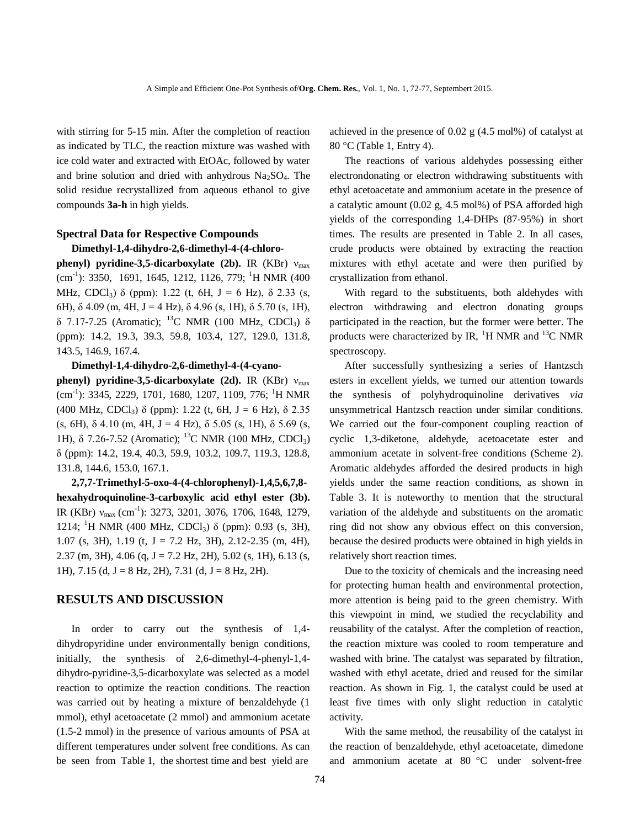with stirring for 5-15 min. After the completion of reaction as indicated by TLC, the reaction mixture was washed with ice cold water and extracted with EtOAc, followed by water and brine solution and dried with anhydrous  $Na<sub>2</sub>SO<sub>4</sub>$ . The solid residue recrystallized from aqueous ethanol to give compounds **3a-h** in high yields.

### **Spectral Data for Respective Compounds**

### **Dimethyl-1,4-dihydro-2,6-dimethyl-4-(4-chloro-**

**phenyl) pyridine-3,5-dicarboxylate (2b).** IR (KBr) ν<sub>max</sub>  $(cm<sup>-1</sup>)$ : 3350, 1691, 1645, 1212, 1126, 779; <sup>1</sup>H NMR (400) MHz, CDCl<sub>3</sub>)  $\delta$  (ppm): 1.22 (t, 6H, J = 6 Hz),  $\delta$  2.33 (s, 6H),  $\delta$  4.09 (m, 4H, J = 4 Hz),  $\delta$  4.96 (s, 1H),  $\delta$  5.70 (s, 1H), δ 7.17-7.25 (Aromatic); <sup>13</sup>C NMR (100 MHz, CDCl<sub>3</sub>) δ (ppm): 14.2, 19.3, 39.3, 59.8, 103.4, 127, 129.0, 131.8, 143.5, 146.9, 167.4.

#### **Dimethyl-1,4-dihydro-2,6-dimethyl-4-(4-cyano-**

**phenyl)** pyridine-3,5-dicarboxylate (2d). IR (KBr) ν<sub>max</sub> (cm<sup>-1</sup>): 3345, 2229, 1701, 1680, 1207, 1109, 776; <sup>1</sup>H NMR (400 MHz, CDCl<sub>3</sub>)  $\delta$  (ppm): 1.22 (t, 6H, J = 6 Hz),  $\delta$  2.35 (s, 6H),  $\delta$  4.10 (m, 4H, J = 4 Hz),  $\delta$  5.05 (s, 1H),  $\delta$  5.69 (s, 1H), δ 7.26-7.52 (Aromatic); <sup>13</sup>C NMR (100 MHz, CDCl<sub>3</sub>) δ (ppm): 14.2, 19.4, 40.3, 59.9, 103.2, 109.7, 119.3, 128.8, 131.8, 144.6, 153.0, 167.1.

**2,7,7-Trimethyl-5-oxo-4-(4-chlorophenyl)-1,4,5,6,7,8 hexahydroquinoline-3-carboxylic acid ethyl ester (3b).**  IR (KBr)  $v_{\text{max}}$  (cm<sup>-1</sup>): 3273, 3201, 3076, 1706, 1648, 1279, 1214; <sup>1</sup>H NMR (400 MHz, CDCl<sub>3</sub>) δ (ppm): 0.93 (s, 3H), 1.07 (s, 3H), 1.19 (t, J = 7.2 Hz, 3H), 2.12-2.35 (m, 4H), 2.37 (m, 3H), 4.06 (q, J = 7.2 Hz, 2H), 5.02 (s, 1H), 6.13 (s, 1H),  $7.15$  (d,  $J = 8$  Hz,  $2H$ ),  $7.31$  (d,  $J = 8$  Hz,  $2H$ ).

# **RESULTS AND DISCUSSION**

In order to carry out the synthesis of 1,4 dihydropyridine under environmentally benign conditions, initially, the synthesis of 2,6-dimethyl-4-phenyl-1,4 dihydro-pyridine-3,5-dicarboxylate was selected as a model reaction to optimize the reaction conditions. The reaction was carried out by heating a mixture of benzaldehyde (1 mmol), ethyl acetoacetate (2 mmol) and ammonium acetate (1.5-2 mmol) in the presence of various amounts of PSA at different temperatures under solvent free conditions. As can be seen from Table 1, the shortest time and best yield are

achieved in the presence of 0.02 g (4.5 mol%) of catalyst at 80 °C (Table 1, Entry 4).

The reactions of various aldehydes possessing either electrondonating or electron withdrawing substituents with ethyl acetoacetate and ammonium acetate in the presence of a catalytic amount (0.02 g, 4.5 mol%) of PSA afforded high yields of the corresponding 1,4-DHPs (87-95%) in short times. The results are presented in Table 2. In all cases, crude products were obtained by extracting the reaction mixtures with ethyl acetate and were then purified by crystallization from ethanol.

With regard to the substituents, both aldehydes with electron withdrawing and electron donating groups participated in the reaction, but the former were better. The products were characterized by IR,  $^{1}$ H NMR and  $^{13}$ C NMR spectroscopy.

After successfully synthesizing a series of Hantzsch esters in excellent yields, we turned our attention towards the synthesis of polyhydroquinoline derivatives *via* unsymmetrical Hantzsch reaction under similar conditions. We carried out the four-component coupling reaction of cyclic 1,3-diketone, aldehyde, acetoacetate ester and ammonium acetate in solvent-free conditions (Scheme 2). Aromatic aldehydes afforded the desired products in high yields under the same reaction conditions, as shown in Table 3. It is noteworthy to mention that the structural variation of the aldehyde and substituents on the aromatic ring did not show any obvious effect on this conversion, because the desired products were obtained in high yields in relatively short reaction times.

Due to the toxicity of chemicals and the increasing need for protecting human health and environmental protection, more attention is being paid to the green chemistry. With this viewpoint in mind, we studied the recyclability and reusability of the catalyst. After the completion of reaction, the reaction mixture was cooled to room temperature and washed with brine. The catalyst was separated by filtration, washed with ethyl acetate, dried and reused for the similar reaction. As shown in Fig. 1, the catalyst could be used at least five times with only slight reduction in catalytic activity.

With the same method, the reusability of the catalyst in the reaction of benzaldehyde, ethyl acetoacetate, dimedone and ammonium acetate at 80 °C under solvent-free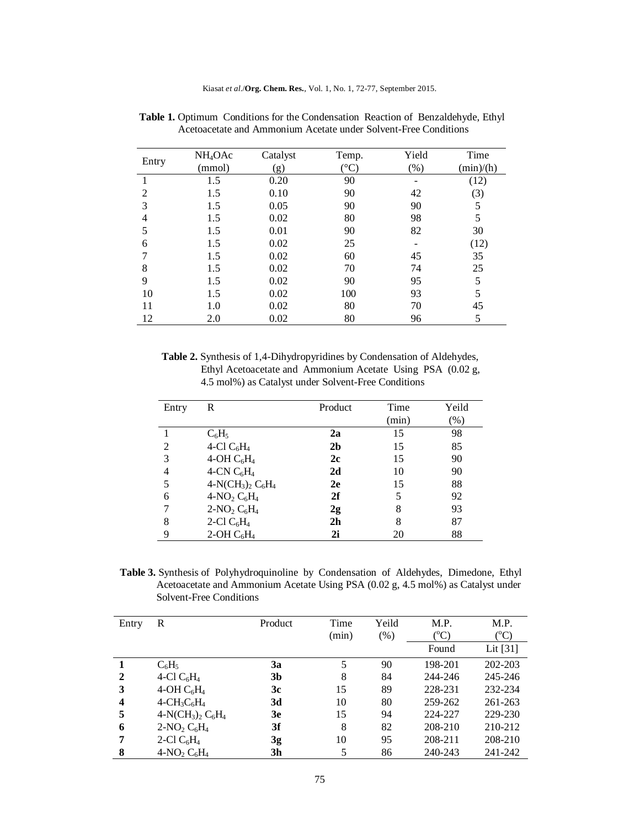| Entry          | NH <sub>4</sub> OAc | Catalyst | Temp.            | Yield | Time      |
|----------------|---------------------|----------|------------------|-------|-----------|
|                | (mmol)              | (g)      | $\rm ^{\circ}C)$ | (% )  | (min)/(h) |
|                | 1.5                 | 0.20     | 90               |       | (12)      |
| $\mathfrak{D}$ | 1.5                 | 0.10     | 90               | 42    | (3)       |
| 3              | 1.5                 | 0.05     | 90               | 90    | 5         |
| 4              | 1.5                 | 0.02     | 80               | 98    | 5         |
|                | 1.5                 | 0.01     | 90               | 82    | 30        |
| 6              | 1.5                 | 0.02     | 25               |       | (12)      |
|                | 1.5                 | 0.02     | 60               | 45    | 35        |
| 8              | 1.5                 | 0.02     | 70               | 74    | 25        |
| 9              | 1.5                 | 0.02     | 90               | 95    | 5         |
| 10             | 1.5                 | 0.02     | 100              | 93    | 5         |
| 11             | 1.0                 | 0.02     | 80               | 70    | 45        |
| 12             | 2.0                 | 0.02     | 80               | 96    | 5         |

Table 1. Optimum Conditions for the Condensation Reaction of Benzaldehyde, Ethyl Acetoacetate and Ammonium Acetate under Solvent-Free Conditions

 **Table 2.** Synthesis of 1,4-Dihydropyridines by Condensation of Aldehydes, Ethyl Acetoacetate and Ammonium Acetate Using PSA (0.02 g, 4.5 mol%) as Catalyst under Solvent-Free Conditions

| Entry | R                    | Product        | Time  | Yeild   |
|-------|----------------------|----------------|-------|---------|
|       |                      |                | (min) | $(\% )$ |
|       | $C_6H_5$             | 2a             | 15    | 98      |
| 2     | 4-Cl $C_6H_4$        | 2 <sub>b</sub> | 15    | 85      |
| 3     | 4-OH $C_6H_4$        | 2c             | 15    | 90      |
| 4     | 4-CN $C_6H_4$        | 2d             | 10    | 90      |
| 5     | $4-N(CH_3)_2 C_6H_4$ | 2e             | 15    | 88      |
| 6     | $4-NO2 C6H4$         | 2f             |       | 92      |
| 7     | $2-NO2 C6H4$         | 2g             | 8     | 93      |
| 8     | 2-Cl $C_6H_4$        | 2 <sub>h</sub> | 8     | 87      |
| 9     | $2$ -OH $C_6H_4$     | 2i             | 20    | 88      |

 **Table 3.** Synthesis of Polyhydroquinoline by Condensation of Aldehydes, Dimedone, Ethyl Acetoacetate and Ammonium Acetate Using PSA (0.02 g, 4.5 mol%) as Catalyst under Solvent-Free Conditions

| Entry        | R                    | Product        | Time<br>(min) | Yeild<br>(% ) | M.P.<br>$(^{o}C)$ | M.P.<br>$({}^{\rm o}C)$ |
|--------------|----------------------|----------------|---------------|---------------|-------------------|-------------------------|
|              |                      |                |               |               | Found             | Lit $[31]$              |
|              | $C_6H_5$             | 3a             | 5             | 90            | 198-201           | 202-203                 |
| $\mathbf{2}$ | 4-Cl $C_6H_4$        | 3 <sub>b</sub> | 8             | 84            | 244-246           | 245-246                 |
| 3            | 4-OH $C_6H_4$        | 3c             | 15            | 89            | 228-231           | 232-234                 |
| 4            | $4-CH_3C_6H_4$       | 3d             | 10            | 80            | 259-262           | 261-263                 |
| 5            | $4-N(CH_3)_2 C_6H_4$ | 3e             | 15            | 94            | 224-227           | 229-230                 |
| 6            | $2-NO_2 C_6H_4$      | 3f             | 8             | 82            | 208-210           | 210-212                 |
| 7            | 2-Cl $C_6H_4$        | 3g             | 10            | 95            | 208-211           | 208-210                 |
| 8            | $4-NO_2 C_6H_4$      | 3h             | 5             | 86            | 240-243           | 241-242                 |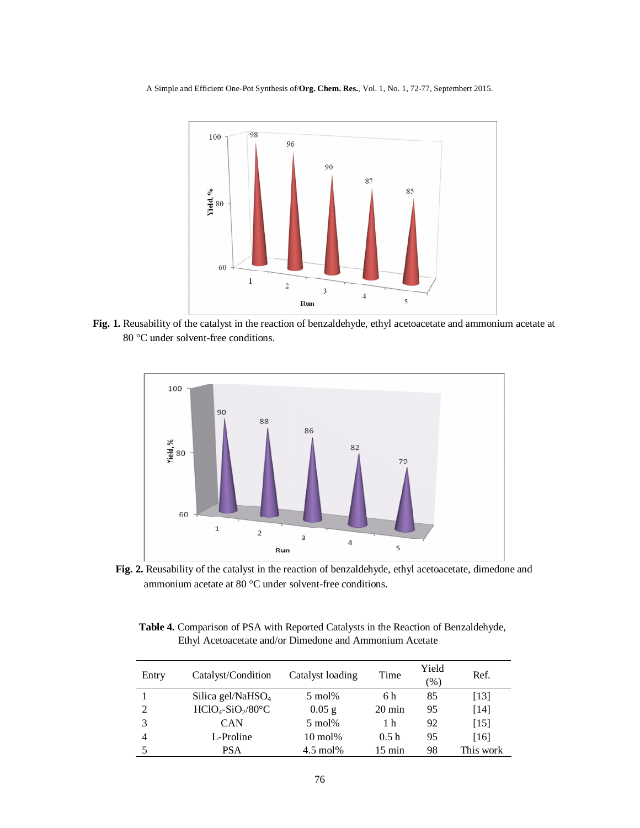A Simple and Efficient One-Pot Synthesis of/**Org. Chem. Res.**, Vol. 1, No. 1, 72-77, Septembert 2015.



**Fig. 1.** Reusability of the catalyst in the reaction of benzaldehyde, ethyl acetoacetate and ammonium acetate at 80 °C under solvent-free conditions.



**Fig. 2.** Reusability of the catalyst in the reaction of benzaldehyde, ethyl acetoacetate, dimedone and ammonium acetate at 80 °C under solvent-free conditions.

 **Table 4.** Comparison of PSA with Reported Catalysts in the Reaction of Benzaldehyde, Ethyl Acetoacetate and/or Dimedone and Ammonium Acetate

| Entry | Catalyst/Condition   | Catalyst loading    | Time             | Yield<br>(96) | Ref.      |
|-------|----------------------|---------------------|------------------|---------------|-----------|
|       | Silica gel/Na $HSO4$ | $5 \text{ mol}$ %   | 6 h              | 85            | $[13]$    |
| 2     | $HClO4-SiO2/80°C$    | $0.05$ g            | $20 \text{ min}$ | 95            | $[14]$    |
| 3     | <b>CAN</b>           | $5 \text{ mol}$ %   | 1 h              | 92            | [15]      |
| 4     | L-Proline            | $10 \text{ mol}$ %  | 0.5h             | 95            | [16]      |
|       | <b>PSA</b>           | $4.5 \text{ mol}$ % | $15 \text{ min}$ | 98            | This work |